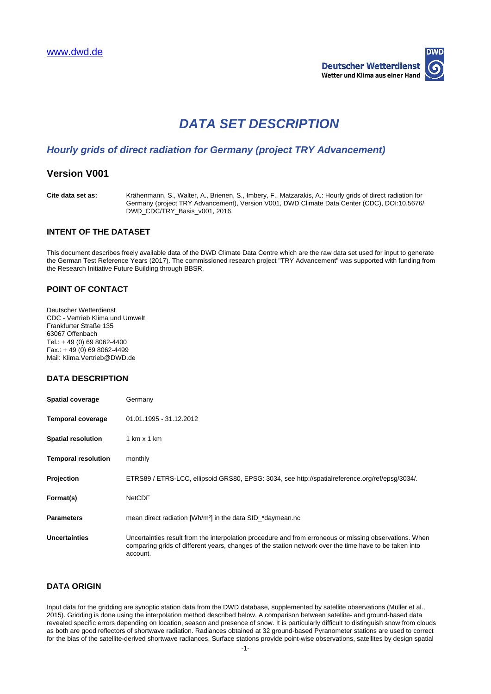

# **DATA SET DESCRIPTION**

# **Hourly grids of direct radiation for Germany (project TRY Advancement)**

## **Version V001**

**Cite data set as:** Krähenmann, S., Walter, A., Brienen, S., Imbery, F., Matzarakis, A.: Hourly grids of direct radiation for Germany (project TRY Advancement), Version V001, DWD Climate Data Center (CDC), DOI:10.5676/ DWD\_CDC/TRY\_Basis\_v001, 2016.

#### **INTENT OF THE DATASET**

This document describes freely available data of the DWD Climate Data Centre which are the raw data set used for input to generate the German Test Reference Years (2017). The commissioned research project "TRY Advancement" was supported with funding from the Research Initiative Future Building through BBSR.

#### **POINT OF CONTACT**

Deutscher Wetterdienst CDC - Vertrieb Klima und Umwelt Frankfurter Straße 135 63067 Offenbach Tel.: + 49 (0) 69 8062-4400 Fax.: + 49 (0) 69 8062-4499 Mail: Klima.Vertrieb@DWD.de

## **DATA DESCRIPTION**

| <b>Spatial coverage</b>    | Germany                                                                                                                                                                                                                      |
|----------------------------|------------------------------------------------------------------------------------------------------------------------------------------------------------------------------------------------------------------------------|
| <b>Temporal coverage</b>   | 01.01.1995 - 31.12.2012                                                                                                                                                                                                      |
| <b>Spatial resolution</b>  | $1 \text{ km} \times 1 \text{ km}$                                                                                                                                                                                           |
| <b>Temporal resolution</b> | monthly                                                                                                                                                                                                                      |
| Projection                 | ETRS89 / ETRS-LCC, ellipsoid GRS80, EPSG: 3034, see http://spatialreference.org/ref/epsg/3034/.                                                                                                                              |
| Format(s)                  | <b>NetCDF</b>                                                                                                                                                                                                                |
| <b>Parameters</b>          | mean direct radiation [Wh/m <sup>2</sup> ] in the data SID *daymean.nc                                                                                                                                                       |
| <b>Uncertainties</b>       | Uncertainties result from the interpolation procedure and from erroneous or missing observations. When<br>comparing grids of different years, changes of the station network over the time have to be taken into<br>account. |

### **DATA ORIGIN**

Input data for the gridding are synoptic station data from the DWD database, supplemented by satellite observations (Müller et al., 2015). Gridding is done using the interpolation method described below. A comparison between satellite- and ground-based data revealed specific errors depending on location, season and presence of snow. It is particularly difficult to distinguish snow from clouds as both are good reflectors of shortwave radiation. Radiances obtained at 32 ground-based Pyranometer stations are used to correct for the bias of the satellite-derived shortwave radiances. Surface stations provide point-wise observations, satellites by design spatial